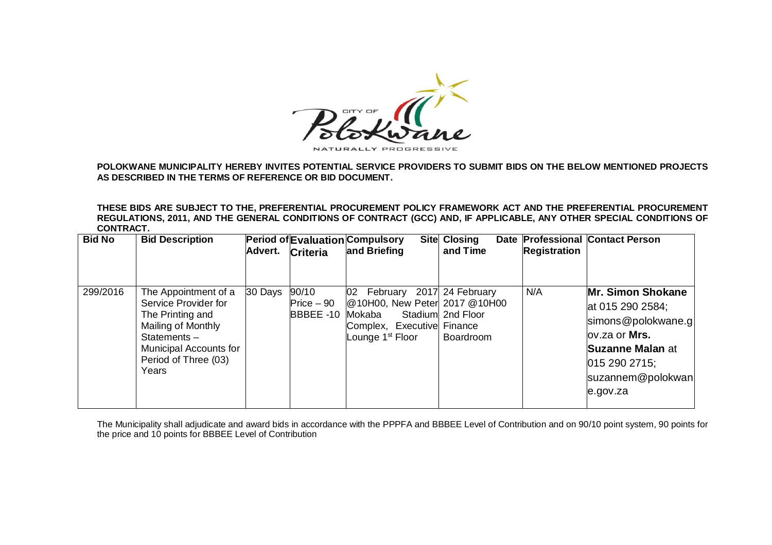

**POLOKWANE MUNICIPALITY HEREBY INVITES POTENTIAL SERVICE PROVIDERS TO SUBMIT BIDS ON THE BELOW MENTIONED PROJECTS AS DESCRIBED IN THE TERMS OF REFERENCE OR BID DOCUMENT.**

**THESE BIDS ARE SUBJECT TO THE, PREFERENTIAL PROCUREMENT POLICY FRAMEWORK ACT AND THE PREFERENTIAL PROCUREMENT REGULATIONS, 2011, AND THE GENERAL CONDITIONS OF CONTRACT (GCC) AND, IF APPLICABLE, ANY OTHER SPECIAL CONDITIONS OF CONTRACT.** 

| <b>Bid No</b> | <b>Bid Description</b>                                                                                                                                              | Advert.   | Criteria                          | Period of Evaluation Compulsory<br><b>Site</b><br>and Briefing                                                                                   | <b>Closing</b><br>and Time | <b>Registration</b> | Date Professional Contact Person                                                                                                                    |
|---------------|---------------------------------------------------------------------------------------------------------------------------------------------------------------------|-----------|-----------------------------------|--------------------------------------------------------------------------------------------------------------------------------------------------|----------------------------|---------------------|-----------------------------------------------------------------------------------------------------------------------------------------------------|
| 299/2016      | The Appointment of a<br>Service Provider for<br>The Printing and<br>Mailing of Monthly<br>Statements $-$<br>Municipal Accounts for<br>Period of Three (03)<br>Years | $30$ Days | 90/10<br>$Price - 90$<br>BBBEE-10 | 02 February 2017 24 February<br>@10H00, New Peter 2017 @10H00<br>Mokaba<br>Stadium<br>Complex, Executive Finance<br>Lounge 1 <sup>st</sup> Floor | 2nd Floor<br>Boardroom     | N/A                 | Mr. Simon Shokane<br>at 015 290 2584;<br>simons@polokwane.g<br>lov.za or Mrs.<br>Suzanne Malan at<br>015 290 2715;<br>suzannem@polokwan<br>e.gov.za |

The Municipality shall adjudicate and award bids in accordance with the PPPFA and BBBEE Level of Contribution and on 90/10 point system, 90 points for the price and 10 points for BBBEE Level of Contribution